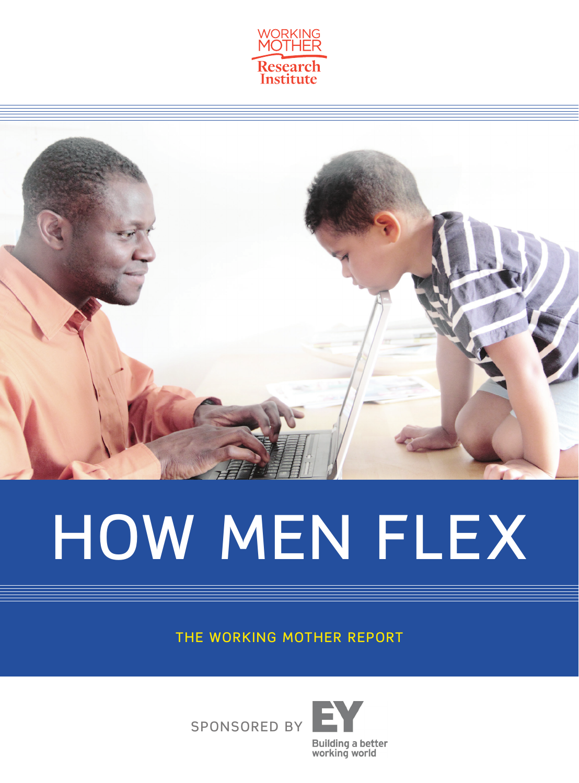



# HOW MEN FLEX

THE WORKING MOTHER REPORT



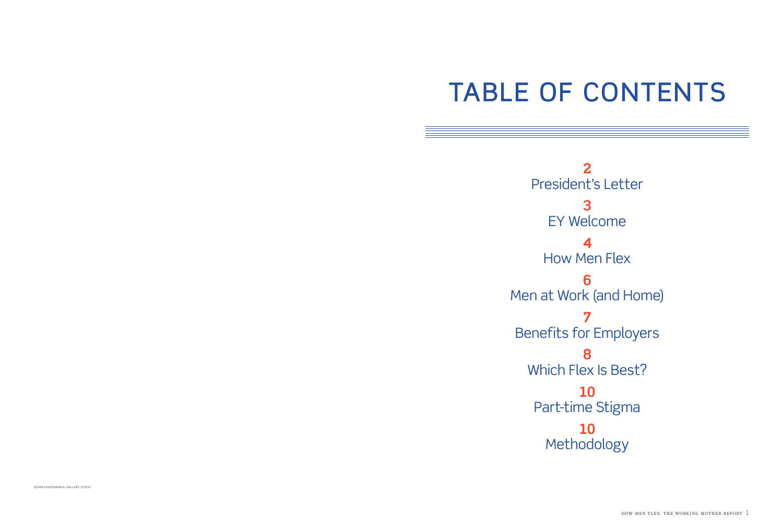## TABLE OF CONTENTS

**2** President's Letter **3** EY Welcome **4** How Men Flex **6** Men at Work (and Home) **7** Benefits for Employers **8** Which Flex Is Best? **10** Part-time Stigma **10** Methodology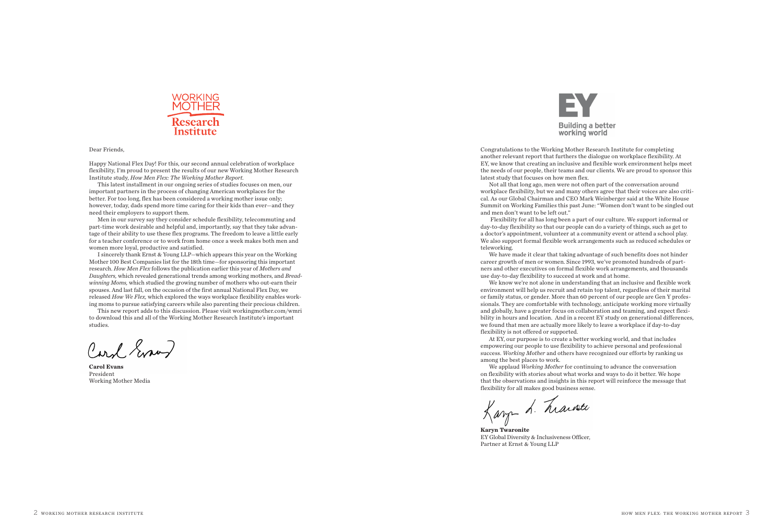

#### Dear Friends,

Happy National Flex Day! For this, our second annual celebration of workplace flexibility, I'm proud to present the results of our new Working Mother Research Institute study, *How Men Flex: The Working Mother Report.* 

This latest installment in our ongoing series of studies focuses on men, our important partners in the process of changing American workplaces for the better. For too long, flex has been considered a working mother issue only; however, today, dads spend more time caring for their kids than ever—and they need their employers to support them.

Men in our survey say they consider schedule flexibility, telecommuting and part-time work desirable and helpful and, importantly, say that they take advantage of their ability to use these flex programs. The freedom to leave a little early for a teacher conference or to work from home once a week makes both men and women more loyal, productive and satisfied.

I sincerely thank Ernst & Young LLP—which appears this year on the Working Mother 100 Best Companies list for the 18th time—for sponsoring this important research. *How Men Flex* follows the publication earlier this year of *Mothers and Daughters,* which revealed generational trends among working mothers, and *Breadwinning Moms,* which studied the growing number of mothers who out-earn their spouses. And last fall, on the occasion of the first annual National Flex Day, we released *How We Flex,* which explored the ways workplace flexibility enables working moms to pursue satisfying careers while also parenting their precious children.

This new report adds to this discussion. Please visit workingmother.com/wmri to download this and all of the Working Mother Research Institute's important studies.

Card Error

**Carol Evans** President Working Mother Media



Congratulations to the Working Mother Research Institute for completing another relevant report that furthers the dialogue on workplace flexibility. At EY, we know that creating an inclusive and flexible work environment helps meet the needs of our people, their teams and our clients. We are proud to sponsor this latest study that focuses on how men flex.

Not all that long ago, men were not often part of the conversation around workplace flexibility, but we and many others agree that their voices are also critical. As our Global Chairman and CEO Mark Weinberger said at the White House Summit on Working Families this past June: "Women don't want to be singled out and men don't want to be left out."

 Flexibility for all has long been a part of our culture. We support informal or day-to-day flexibility so that our people can do a variety of things, such as get to a doctor's appointment, volunteer at a community event or attend a school play. We also support formal flexible work arrangements such as reduced schedules or teleworking.

We have made it clear that taking advantage of such benefits does not hinder career growth of men or women. Since 1993, we've promoted hundreds of partners and other executives on formal flexible work arrangements, and thousands use day-to-day flexibility to succeed at work and at home.

We know we're not alone in understanding that an inclusive and flexible work environment will help us recruit and retain top talent, regardless of their marital or family status, or gender. More than 60 percent of our people are Gen Y professionals. They are comfortable with technology, anticipate working more virtually and globally, have a greater focus on collaboration and teaming, and expect flexibility in hours and location. And in a recent EY study on generational differences, we found that men are actually more likely to leave a workplace if day-to-day flexibility is not offered or supported.

At EY, our purpose is to create a better working world, and that includes empowering our people to use flexibility to achieve personal and professional success. *Working Mother* and others have recognized our efforts by ranking us among the best places to work.

We applaud *Working Mother* for continuing to advance the conversation on flexibility with stories about what works and ways to do it better. We hope that the observations and insights in this report will reinforce the message that

flexibility for all makes good business sense.<br>Kang A. Marchite

**Karyn Twaronite** EY Global Diversity & Inclusiveness Officer, Partner at Ernst & Young LLP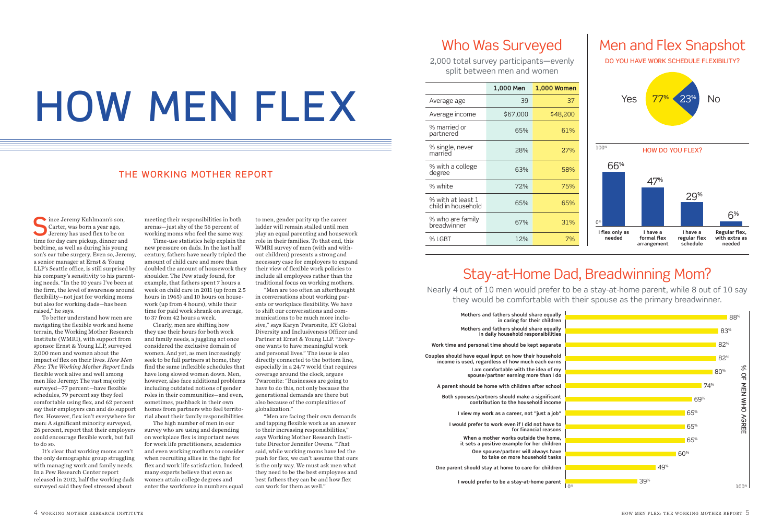# HOW MEN FLEX

#### THE WORKING MOTHER REPORT

 $\bigcap$  ince Jeremy Kuhlmann's son, Carter, was born a year ago, Jeremy has used flex to be on time for day care pickup, dinner and bedtime, as well as during his young son's ear tube surgery. Even so, Jeremy, a senior manager at Ernst & Young LLP's Seattle office, is still surprised by his company's sensitivity to his parenting needs. "In the 10 years I've been at the firm, the level of awareness around flexibility—not just for working moms but also for working dads—has been raised," he says.

To better understand how men are navigating the flexible work and home terrain, the Working Mother Research Institute (WMRI), with support from sponsor Ernst & Young LLP, surveyed 2,000 men and women about the impact of flex on their lives. *How Men Flex: The Working Mother Report* finds flexible work alive and well among men like Jeremy: The vast majority surveyed—77 percent—have flexible schedules, 79 percent say they feel comfortable using flex, and 62 percent say their employers can and do support flex. However, flex isn't everywhere for men: A significant minority surveyed, 26 percent, report that their employers could encourage flexible work, but fail to do so.

It's clear that working moms aren't the only demographic group struggling with managing work and family needs. In a Pew Research Center report released in 2012, half the working dads surveyed said they feel stressed about

meeting their responsibilities in both arenas—just shy of the 56 percent of working moms who feel the same way.

Time-use statistics help explain the new pressure on dads. In the last half century, fathers have nearly tripled the amount of child care and more than doubled the amount of housework they shoulder. The Pew study found, for example, that fathers spent 7 hours a week on child care in 2011 (up from 2.5 hours in 1965) and 10 hours on housework (up from 4 hours), while their time for paid work shrank on average, to 37 from 42 hours a week.

Clearly, men are shifting how they use their hours for both work and family needs, a juggling act once considered the exclusive domain of women. And yet, as men increasingly seek to be full partners at home, they find the same inflexible schedules that have long slowed women down. Men, however, also face additional problems including outdated notions of gender roles in their communities—and even, sometimes, pushback in their own homes from partners who feel territorial about their family responsibilities.

The high number of men in our survey who are using and depending on workplace flex is important news for work life practitioners, academics and even working mothers to consider when recruiting allies in the fight for flex and work life satisfaction. Indeed, many experts believe that even as women attain college degrees and enter the workforce in numbers equal

to men, gender parity up the career ladder will remain stalled until men play an equal parenting and housework role in their families. To that end, this WMRI survey of men (with and without children) presents a strong and necessary case for employers to expand their view of flexible work policies to include all employees rather than the traditional focus on working mothers.

"Men are too often an afterthought in conversations about working parents or workplace flexibility. We have to shift our conversations and communications to be much more inclusive," says Karyn Twaronite, EY Global Diversity and Inclusiveness Officer and Partner at Ernst & Young LLP. "Everyone wants to have meaningful work and personal lives." The issue is also directly connected to the bottom line, especially in a 24/7 world that requires coverage around the clock, argues Twaronite: "Businesses are going to have to do this, not only because the generational demands are there but also because of the complexities of globalization."

"Men are facing their own demands and tapping flexible work as an answer to their increasing responsibilities," says Working Mother Research Institute Director Jennifer Owens. "That said, while working moms have led the push for flex, we can't assume that ours is the only way. We must ask men what they need to be the best employees and best fathers they can be and how flex

#### Who Was Surveyed

2,000 total survey participants—evenly split between men and women

|                                         | 1,000 Men | 1,000 Women |
|-----------------------------------------|-----------|-------------|
| Average age                             | 39        | 37          |
| Average income                          | \$67,000  | \$48,200    |
| % married or<br>partnered               | 65%       | 61%         |
| % single, never<br>married              | 28%       | 27%         |
| % with a college<br>degree              | 63%       | 58%         |
| % white                                 | 72%       | 75%         |
| % with at least 1<br>child in household | 65%       | 65%         |
| % who are family<br>breadwinner         | 67%       | 31%         |
| % LGBT                                  | 12%       | 7%          |



DO YOU HAVE WORK SCHEDULE FLEXIBILITY?



## Stay-at-Home Dad, Breadwinning Mom?

Nearly 4 out of 10 men would prefer to be a stay-at-home parent, while 8 out of 10 say they would be comfortable with their spouse as the primary breadwinner.

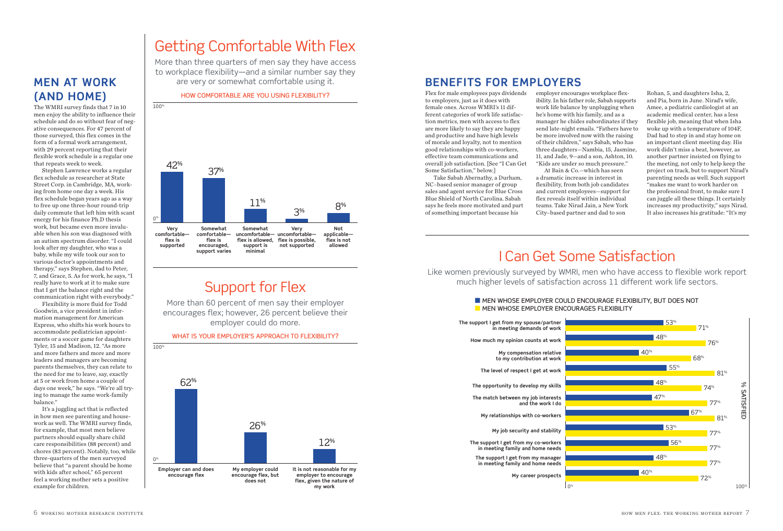#### **MEN AT WORK (AND HOME)**

The WMRI survey finds that 7 in 10 men enjoy the ability to influence their schedule and do so without fear of negative consequences. For 47 percent of those surveyed, this flex comes in the form of a formal work arrangement, with 29 percent reporting that their flexible work schedule is a regular one that repeats week to week.

Stephen Lawrence works a regular flex schedule as researcher at State Street Corp. in Cambridge, MA, working from home one day a week. His flex schedule began years ago as a way to free up one three-hour round-trip daily commute that left him with scant energy for his finance Ph.D thesis work, but became even more invaluable when his son was diagnosed with an autism spectrum disorder. "I could look after my daughter, who was a baby, while my wife took our son to various doctor's appointments and therapy," says Stephen, dad to Peter, 7, and Grace, 5. As for work, he says, "I really have to work at it to make sure that I get the balance right and the communication right with everybody."

Flexibility is more fluid for Todd Goodwin, a vice president in information management for American Express, who shifts his work hours to accommodate pediatrician appointments or a soccer game for daughters Tyler, 15 and Madison, 12. "As more and more fathers and more and more leaders and managers are becoming parents themselves, they can relate to the need for me to leave, say, exactly at 5 or work from home a couple of days one week," he says. "We're all trying to manage the same work-family balance."

It's a juggling act that is reflected in how men see parenting and housework as well. The WMRI survey finds, for example, that most men believe partners should equally share child care responsibilities (88 percent) and chores (83 percent). Notably, too, while three-quarters of the men surveyed believe that "a parent should be home with kids after school," 65 percent feel a working mother sets a positive example for children.

## Getting Comfortable With Flex

More than three quarters of men say they have access to workplace flexibility—and a similar number say they are very or somewhat comfortable using it.

HOW COMFORTABLE ARE YOU USING FLEXIBILITY?



## Support for Flex

More than 60 percent of men say their employer encourages flex; however, 26 percent believe their employer could do more.

WHAT IS YOUR EMPLOYER'S APPROACH TO FLEXIBILITY?



#### **BENEFITS FOR EMPLOYERS**

Flex for male employees pays dividends to employers, just as it does with female ones. Across WMRI's 11 different categories of work life satisfaction metrics, men with access to flex are more likely to say they are happy and productive and have high levels of morale and loyalty, not to mention good relationships with co-workers, effective team communications and overall job satisfaction. [See "I Can Get Some Satisfaction," below.]

Take Sabah Abernathy, a Durham, NC–based senior manager of group sales and agent service for Blue Cross Blue Shield of North Carolina. Sabah says he feels more motivated and part of something important because his

employer encourages workplace flexibility. In his father role, Sabah supports work life balance by unplugging when he's home with his family, and as a manager he chides subordinates if they send late-night emails. "Fathers have to be more involved now with the raising of their children," says Sabah, who has three daughters—Nambia, 15, Jasmine, 11, and Jade, 9—and a son, Ashton, 10. "Kids are under so much pressure." At Bain & Co.—which has seen

a dramatic increase in interest in flexibility, from both job candidates and current employees—support for flex reveals itself within individual teams. Take Nirad Jain, a New York City–based partner and dad to son

Rohan, 5, and daughters Isha, 2, and Pia, born in June. Nirad's wife, Amee, a pediatric cardiologist at an academic medical center, has a less flexible job, meaning that when Isha woke up with a temperature of 104F, Dad had to step in and stay home on an important client meeting day. His work didn't miss a beat, however, as another partner insisted on flying to the meeting, not only to help keep the project on track, but to support Nirad's parenting needs as well. Such support "makes me want to work harder on the professional front, to make sure I can juggle all these things. It certainly increases my productivity," says Nirad. It also increases his gratitude: "It's my

## I Can Get Some Satisfaction

Like women previously surveyed by WMRI, men who have access to flexible work report much higher levels of satisfaction across 11 different work life sectors.

#### **NEN WHOSE EMPLOYER COULD ENCOURAGE FLEXIBILITY, BUT DOES NOT NEN WHOSE EMPLOYER ENCOURAGES FLEXIBILITY**

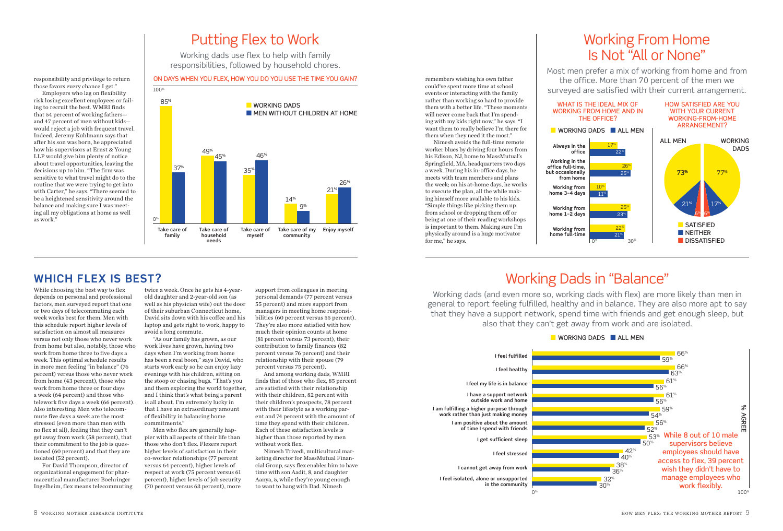## Putting Flex to Work

Working dads use flex to help with family responsibilities, followed by household chores.

#### ON DAYS WHEN YOU FLEX, HOW YOU DO YOU USE THE TIME YOU GAIN?



#### **WHICH FLEX IS BEST?**

responsibility and privilege to return those favors every chance I get." Employers who lag on flexibility

ing to recruit the best. WMRI finds that 54 percent of working fathers and 47 percent of men without kids—

Indeed, Jeremy Kuhlmann says that after his son was born, he appreciated how his supervisors at Ernst & Young LLP would give him plenty of notice

decisions up to him. "The firm was

balance and making sure I was meeting all my obligations at home as well

as work."

While choosing the best way to flex depends on personal and professional factors, men surveyed report that one or two days of telecommuting each week works best for them. Men with this schedule report higher levels of satisfaction on almost all measures versus not only those who never work from home but also, notably, those who work from home three to five days a week. This optimal schedule results in more men feeling "in balance" (76 percent) versus those who never work from home (43 percent), those who work from home three or four days a week (64 percent) and those who telework five days a week (66 percent). Also interesting: Men who telecommute five days a week are the most stressed (even more than men with no flex at all), feeling that they can't get away from work (58 percent), that their commitment to the job is questioned (60 percent) and that they are isolated (52 percent).

For David Thompson, director of organizational engagement for pharmaceutical manufacturer Boehringer Ingelheim, flex means telecommuting twice a week. Once he gets his 4-yearold daughter and 2-year-old son (as well as his physician wife) out the door of their suburban Connecticut home, David sits down with his coffee and his laptop and gets right to work, happy to avoid a long commute.

"As our family has grown, as our work lives have grown, having two days when I'm working from home has been a real boon," says David, who starts work early so he can enjoy lazy evenings with his children, sitting on the stoop or chasing bugs. "That's you and them exploring the world together, and I think that's what being a parent is all about. I'm extremely lucky in that I have an extraordinary amount of flexibility in balancing home commitments."

Men who flex are generally happier with all aspects of their life than those who don't flex. Flexers report higher levels of satisfaction in their co-worker relationships (77 percent versus 64 percent), higher levels of respect at work (75 percent versus 61 percent), higher levels of job security (70 percent versus 63 percent), more

support from colleagues in meeting personal demands (77 percent versus 55 percent) and more support from managers in meeting home responsibilities (60 percent versus 55 percent). They're also more satisfied with how much their opinion counts at home (81 percent versus 73 percent), their contribution to family finances (82 percent versus 76 percent) and their relationship with their spouse (79 percent versus 75 percent).

And among working dads, WMRI finds that of those who flex, 85 percent are satisfied with their relationship with their children, 82 percent with their children's prospects, 78 percent with their lifestyle as a working parent and 74 percent with the amount of time they spend with their children. Each of these satisfaction levels is higher than those reported by men without work flex.

Nimesh Trivedi, multicultural marketing director for MassMutual Financial Group, says flex enables him to have time with son Aadit, 8, and daughter Aanya, 5, while they're young enough to want to hang with Dad. Nimesh

remembers wishing his own father could've spent more time at school events or interacting with the family rather than working so hard to provide them with a better life. "These moments will never come back that I'm spending with my kids right now," he says. "I want them to really believe I'm there for them when they need it the most."

Nimesh avoids the full-time remote worker blues by driving four hours from his Edison, NJ, home to MassMutual's Springfield, MA, headquarters two days a week. During his in-office days, he meets with team members and plans the week; on his at-home days, he works to execute the plan, all the while making himself more available to his kids. "Simple things like picking them up from school or dropping them off or being at one of their reading workshops is important to them. Making sure I'm physically around is a huge motivator for me," he says.

## Working From Home Is Not "All or None"

Most men prefer a mix of working from home and from the office. More than 70 percent of the men we surveyed are satisfied with their current arrangement.



### Working Dads in "Balance"

Working dads (and even more so, working dads with flex) are more likely than men in general to report feeling fulfilled, healthy and in balance. They are also more apt to say that they have a support network, spend time with friends and get enough sleep, but also that they can't get away from work and are isolated.

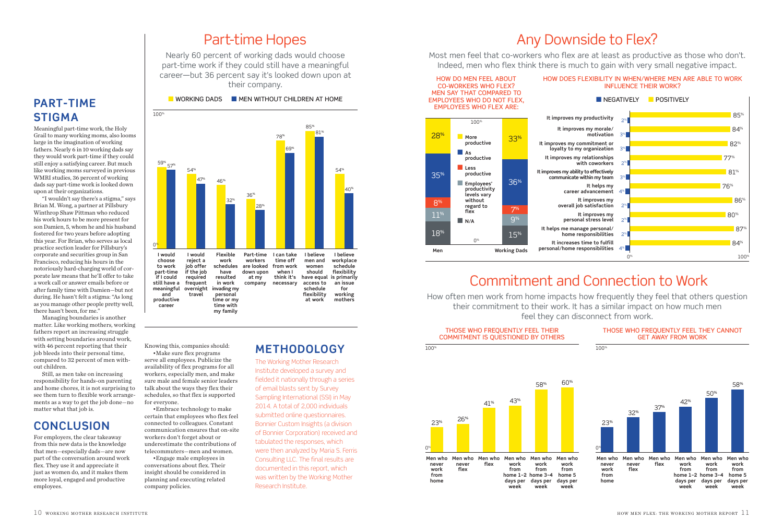#### Part-time Hopes

Nearly 60 percent of working dads would choose part-time work if they could still have a meaningful career—but 36 percent say it's looked down upon at their company.

#### **PART-TIME STIGMA**

Meaningful part-time work, the Holy Grail to many working moms, also looms large in the imagination of working fathers. Nearly 6 in 10 working dads say they would work part-time if they could still enjoy a satisfying career. But much like working moms surveyed in previous WMRI studies, 36 percent of working dads say part-time work is looked down upon at their organizations.

100%

"I wouldn't say there's a stigma," says Brian M. Wong, a partner at Pillsbury Winthrop Shaw Pittman who reduced his work hours to be more present for son Damien, 5, whom he and his husband fostered for two years before adopting this year. For Brian, who serves as local practice section leader for Pillsbury's corporate and securities group in San Francisco, reducing his hours in the notoriously hard-charging world of corporate law means that he'll offer to take a work call or answer emails before or after family time with Damien—but not during. He hasn't felt a stigma: "As long as you manage other people pretty well, there hasn't been, for me."

Managing boundaries is another matter. Like working mothers, working fathers report an increasing struggle with setting boundaries around work, with 46 percent reporting that their job bleeds into their personal time, compared to 32 percent of men without children.

Still, as men take on increasing responsibility for hands-on parenting and home chores, it is not surprising to see them turn to flexible work arrangements as a way to get the job done—no matter what that job is.

#### **CONCLUSION**

For employers, the clear takeaway from this new data is the knowledge that men—especially dads—are now part of the conversation around work flex. They use it and appreciate it just as women do, and it makes them more loyal, engaged and productive employees.



Knowing this, companies should: •Make sure flex programs serve all employees. Publicize the availability of flex programs for all workers, especially men, and make sure male and female senior leaders talk about the ways they flex their schedules, so that flex is supported for everyone.

•Embrace technology to make certain that employees who flex feel connected to colleagues. Constant communication ensures that on-site workers don't forget about or underestimate the contributions of telecommuters—men and women.

•Engage male employees in conversations about flex. Their insight should be considered in planning and executing related company policies.

#### **METHODOLOGY**

The Working Mother Research Institute developed a survey and fielded it nationally through a series of email blasts sent by Survey Sampling International (SSI) in May 2014. A total of 2,000 individuals submitted online questionnaires. Bonnier Custom Insights (a division of Bonnier Corporation) received and tabulated the responses, which were then analyzed by Maria S. Ferris Consulting LLC. The final results are documented in this report, which was written by the Working Mother Research Institute.

## Any Downside to Flex?

Most men feel that co-workers who flex are at least as productive as those who don't. Indeed, men who flex think there is much to gain with very small negative impact.



### Commitment and Connection to Work

How often men work from home impacts how frequently they feel that others question their commitment to their work. It has a similar impact on how much men feel they can disconnect from work.

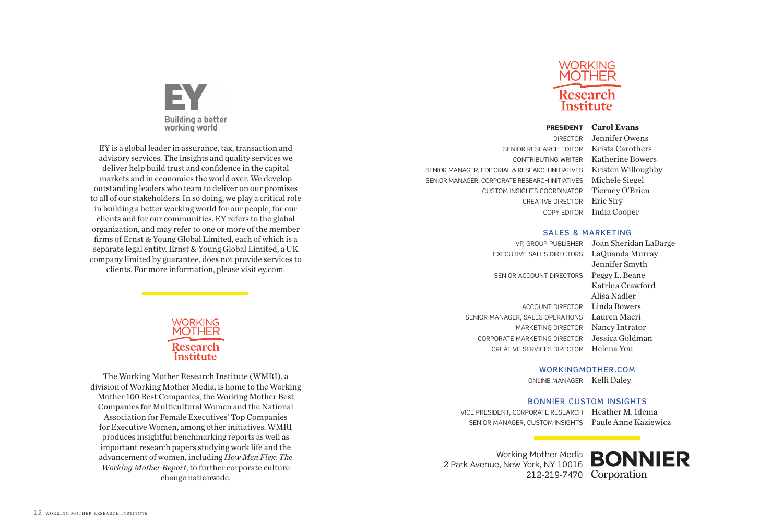## **Building a better** working world

EY is a global leader in assurance, tax, transaction and advisory services. The insights and quality services we deliver help build trust and confidence in the capital markets and in economies the world over. We develop outstanding leaders who team to deliver on our promises to all of our stakeholders. In so doing, we play a critical role in building a better working world for our people, for our clients and for our communities. EY refers to the global organization, and may refer to one or more of the member firms of Ernst & Young Global Limited, each of which is a separate legal entity. Ernst & Young Global Limited, a UK company limited by guarantee, does not provide services to clients. For more information, please visit ey.com.

> WORKING Research Institute

The Working Mother Research Institute (WMRI), a division of Working Mother Media, is home to the Working Mother 100 Best Companies, the Working Mother Best Companies for Multicultural Women and the National Association for Female Executives' Top Companies for Executive Women, among other initiatives. WMRI produces insightful benchmarking reports as well as important research papers studying work life and the advancement of women, including *How Men Flex: The Working Mother Report*, to further corporate culture change nationwide.



#### PRESIDENT **Carol Evans**

SENIOR RESEARCH EDITOR Krista Carothers CONTRIBUTING WRITER Katherine Bowers SENIOR MANAGER, EDITORIAL & RESEARCH INITIATIVES Kristen Willoughby SENIOR MANAGER, CORPORATE RESEARCH INITIATIVES Michele Siegel CUSTOM INSIGHTS COORDINATOR Tierney O'Brien CREATIVE DIRECTOR Eric Siry

DIRECTOR Jennifer Owens COPY EDITOR India Cooper

#### SALES & MARKETING

VP, GROUP PUBLISHER Joan Sheridan LaBarge EXECUTIVE SALES DIRECTORS LaQuanda Murray SENIOR ACCOUNT DIRECTORS Peggy L. Beane ACCOUNT DIRECTOR Linda Bowers SENIOR MANAGER, SALES OPERATIONS Lauren Macri MARKETING DIRECTOR Nancy Intrator CORPORATE MARKETING DIRECTOR Jessica Goldman CREATIVE SERVICES DIRECTOR Helena You

Jennifer Smyth Katrina Crawford Alisa Nadler

#### WORKINGMOTHER.COM

ONLINE MANAGER Kelli Daley

#### BONNIER CUSTOM INSIGHTS

VICE PRESIDENT, CORPORATE RESEARCH Heather M. Idema

SENIOR MANAGER, CUSTOM INSIGHTS Paule Anne Kaziewicz

Working Mother Media 2 Park Avenue, New York, NY 10016